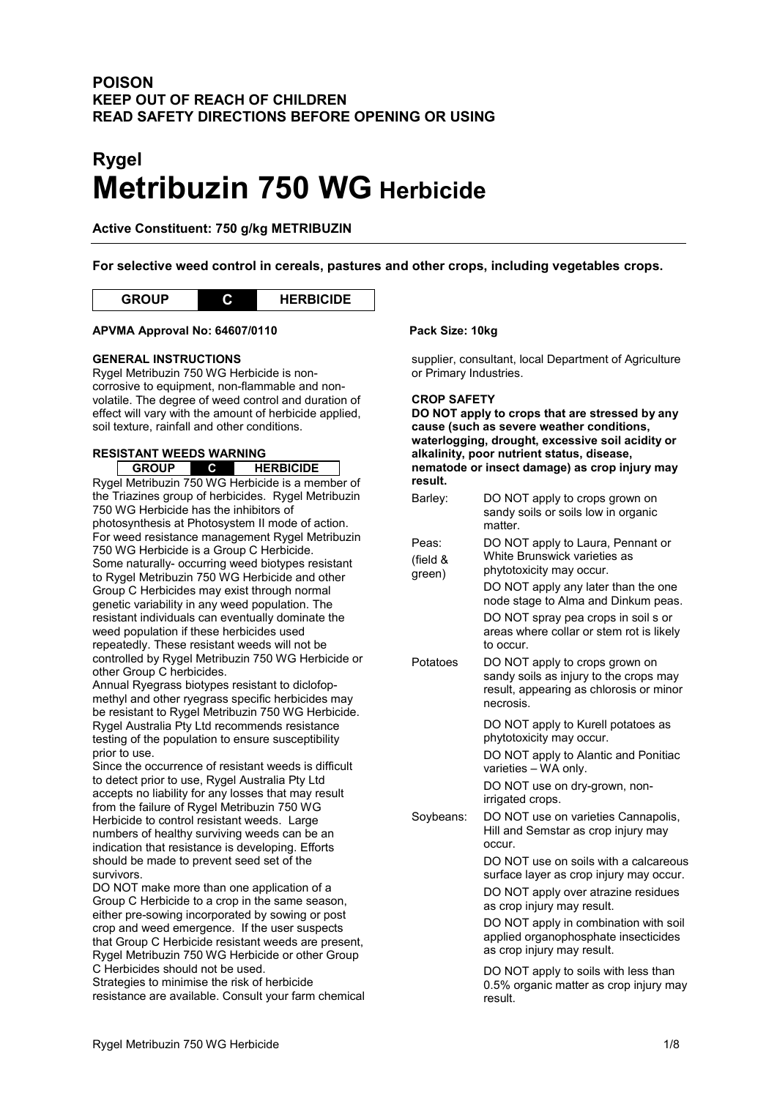# **POISON KEEP OUT OF REACH OF CHILDREN READ SAFETY DIRECTIONS BEFORE OPENING OR USING**

# **Rygel Metribuzin 750 WG Herbicide**

**Active Constituent: 750 g/kg METRIBUZIN**

**For selective weed control in cereals, pastures and other crops, including vegetables crops.**



#### **APVMA Approval No: 64607/0110 Pack Size: 10kg**

#### **GENERAL INSTRUCTIONS**

Rygel Metribuzin 750 WG Herbicide is noncorrosive to equipment, non-flammable and nonvolatile. The degree of weed control and duration of effect will vary with the amount of herbicide applied, soil texture, rainfall and other conditions.

#### **RESISTANT WEEDS WARNING**

**GROUP C HERBICIDE** Rygel Metribuzin 750 WG Herbicide is a member of the Triazines group of herbicides. Rygel Metribuzin 750 WG Herbicide has the inhibitors of photosynthesis at Photosystem II mode of action. For weed resistance management Rygel Metribuzin 750 WG Herbicide is a Group C Herbicide. Some naturally- occurring weed biotypes resistant to Rygel Metribuzin 750 WG Herbicide and other Group C Herbicides may exist through normal genetic variability in any weed population. The resistant individuals can eventually dominate the weed population if these herbicides used repeatedly. These resistant weeds will not be controlled by Rygel Metribuzin 750 WG Herbicide or other Group C herbicides.

Annual Ryegrass biotypes resistant to diclofopmethyl and other ryegrass specific herbicides may be resistant to Rygel Metribuzin 750 WG Herbicide. Rygel Australia Pty Ltd recommends resistance testing of the population to ensure susceptibility prior to use.

Since the occurrence of resistant weeds is difficult to detect prior to use, Rygel Australia Pty Ltd accepts no liability for any losses that may result from the failure of Rygel Metribuzin 750 WG Herbicide to control resistant weeds. Large numbers of healthy surviving weeds can be an indication that resistance is developing. Efforts should be made to prevent seed set of the survivors.

DO NOT make more than one application of a Group C Herbicide to a crop in the same season, either pre-sowing incorporated by sowing or post crop and weed emergence. If the user suspects that Group C Herbicide resistant weeds are present, Rygel Metribuzin 750 WG Herbicide or other Group C Herbicides should not be used. Strategies to minimise the risk of herbicide

resistance are available. Consult your farm chemical

supplier, consultant, local Department of Agriculture or Primary Industries.

#### **CROP SAFETY**

**DO NOT apply to crops that are stressed by any cause (such as severe weather conditions, waterlogging, drought, excessive soil acidity or alkalinity, poor nutrient status, disease, nematode or insect damage) as crop injury may result.**

| Barley:                     | DO NOT apply to crops grown on<br>sandy soils or soils low in organic<br>matter.                                                 |  |  |  |  |
|-----------------------------|----------------------------------------------------------------------------------------------------------------------------------|--|--|--|--|
| Peas:<br>(field &<br>green) | DO NOT apply to Laura, Pennant or<br>White Brunswick varieties as<br>phytotoxicity may occur.                                    |  |  |  |  |
|                             | DO NOT apply any later than the one<br>node stage to Alma and Dinkum peas.                                                       |  |  |  |  |
|                             | DO NOT spray pea crops in soil s or<br>areas where collar or stem rot is likely<br>to occur.                                     |  |  |  |  |
| Potatoes                    | DO NOT apply to crops grown on<br>sandy soils as injury to the crops may<br>result, appearing as chlorosis or minor<br>necrosis. |  |  |  |  |
|                             | DO NOT apply to Kurell potatoes as<br>phytotoxicity may occur.                                                                   |  |  |  |  |
|                             | DO NOT apply to Alantic and Ponitiac<br>varieties - WA only.                                                                     |  |  |  |  |
|                             | DO NOT use on dry-grown, non-<br>irrigated crops.                                                                                |  |  |  |  |
| Soybeans:                   | DO NOT use on varieties Cannapolis,<br>Hill and Semstar as crop injury may<br>occur.                                             |  |  |  |  |
|                             | DO NOT use on soils with a calcareous<br>surface layer as crop injury may occur.                                                 |  |  |  |  |
|                             | DO NOT apply over atrazine residues<br>as crop injury may result.                                                                |  |  |  |  |
|                             | DO NOT apply in combination with soil<br>applied organophosphate insecticides<br>as crop injury may result.                      |  |  |  |  |
|                             | DO NOT apply to soils with less than<br>0.5% organic matter as crop injury may<br>result.                                        |  |  |  |  |
|                             |                                                                                                                                  |  |  |  |  |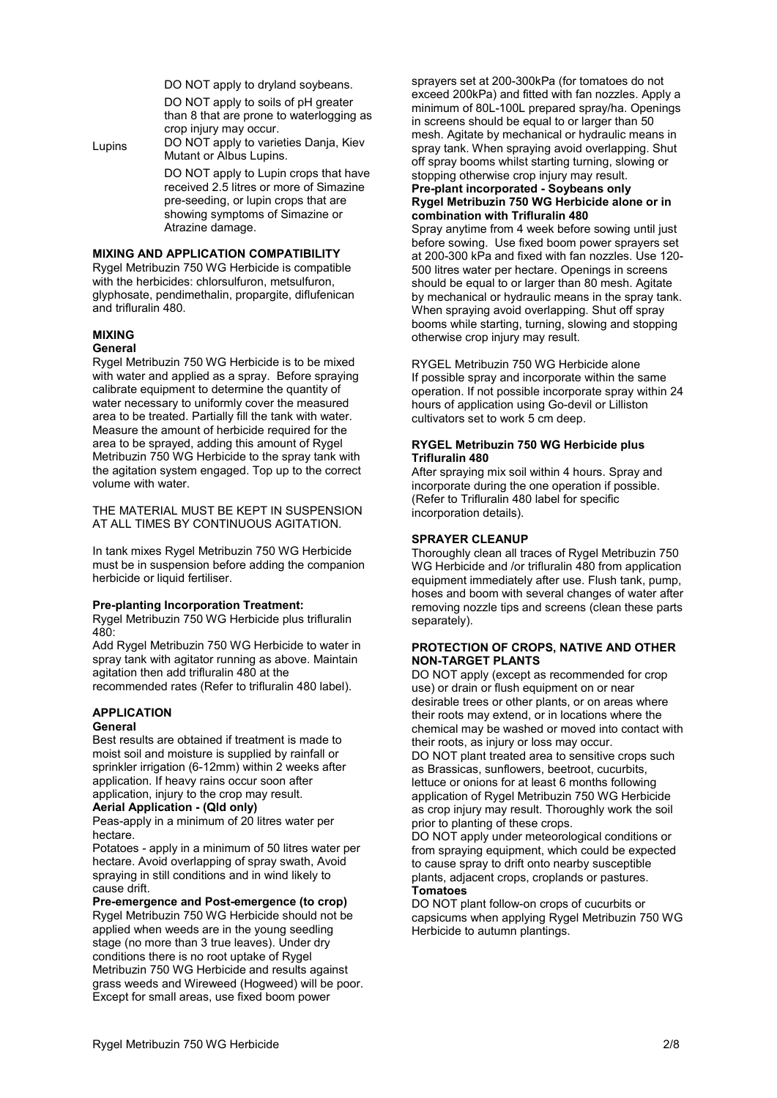DO NOT apply to dryland soybeans.

DO NOT apply to soils of pH greater than 8 that are prone to waterlogging as crop injury may occur.

Lupins DO NOT apply to varieties Danja, Kiev

Mutant or Albus Lupins. DO NOT apply to Lupin crops that have received 2.5 litres or more of Simazine pre-seeding, or lupin crops that are showing symptoms of Simazine or Atrazine damage.

#### **MIXING AND APPLICATION COMPATIBILITY**

Rygel Metribuzin 750 WG Herbicide is compatible with the herbicides: chlorsulfuron, metsulfuron, glyphosate, pendimethalin, propargite, diflufenican and trifluralin 480.

### **MIXING**

#### **General**

Rygel Metribuzin 750 WG Herbicide is to be mixed with water and applied as a spray. Before spraying calibrate equipment to determine the quantity of water necessary to uniformly cover the measured area to be treated. Partially fill the tank with water. Measure the amount of herbicide required for the area to be sprayed, adding this amount of Rygel Metribuzin 750 WG Herbicide to the spray tank with the agitation system engaged. Top up to the correct volume with water.

THE MATERIAL MUST BE KEPT IN SUSPENSION AT ALL TIMES BY CONTINUOUS AGITATION.

In tank mixes Rygel Metribuzin 750 WG Herbicide must be in suspension before adding the companion herbicide or liquid fertiliser.

#### **Pre-planting Incorporation Treatment:**

Rygel Metribuzin 750 WG Herbicide plus trifluralin 480:

Add Rygel Metribuzin 750 WG Herbicide to water in spray tank with agitator running as above. Maintain agitation then add trifluralin 480 at the recommended rates (Refer to trifluralin 480 label).

**APPLICATION**

#### **General**

Best results are obtained if treatment is made to moist soil and moisture is supplied by rainfall or sprinkler irrigation (6-12mm) within 2 weeks after application. If heavy rains occur soon after application, injury to the crop may result.

**Aerial Application - (Qld only)**

Peas-apply in a minimum of 20 litres water per hectare.

Potatoes - apply in a minimum of 50 litres water per hectare. Avoid overlapping of spray swath, Avoid spraying in still conditions and in wind likely to cause drift.

#### **Pre-emergence and Post-emergence (to crop)**

Rygel Metribuzin 750 WG Herbicide should not be applied when weeds are in the young seedling stage (no more than 3 true leaves). Under dry conditions there is no root uptake of Rygel Metribuzin 750 WG Herbicide and results against grass weeds and Wireweed (Hogweed) will be poor. Except for small areas, use fixed boom power

sprayers set at 200-300kPa (for tomatoes do not exceed 200kPa) and fitted with fan nozzles. Apply a minimum of 80L-100L prepared spray/ha. Openings in screens should be equal to or larger than 50 mesh. Agitate by mechanical or hydraulic means in spray tank. When spraying avoid overlapping. Shut off spray booms whilst starting turning, slowing or stopping otherwise crop injury may result. **Pre-plant incorporated - Soybeans only Rygel Metribuzin 750 WG Herbicide alone or in** 

**combination with Trifluralin 480** Spray anytime from 4 week before sowing until just before sowing. Use fixed boom power sprayers set at 200-300 kPa and fixed with fan nozzles. Use 120- 500 litres water per hectare. Openings in screens should be equal to or larger than 80 mesh. Agitate by mechanical or hydraulic means in the spray tank. When spraying avoid overlapping. Shut off spray booms while starting, turning, slowing and stopping otherwise crop injury may result.

RYGEL Metribuzin 750 WG Herbicide alone If possible spray and incorporate within the same operation. If not possible incorporate spray within 24 hours of application using Go-devil or Lilliston cultivators set to work 5 cm deep.

#### **RYGEL Metribuzin 750 WG Herbicide plus Trifluralin 480**

After spraying mix soil within 4 hours. Spray and incorporate during the one operation if possible. (Refer to Trifluralin 480 label for specific incorporation details).

#### **SPRAYER CLEANUP**

Thoroughly clean all traces of Rygel Metribuzin 750 WG Herbicide and /or trifluralin 480 from application equipment immediately after use. Flush tank, pump, hoses and boom with several changes of water after removing nozzle tips and screens (clean these parts separately).

#### **PROTECTION OF CROPS, NATIVE AND OTHER NON-TARGET PLANTS**

DO NOT apply (except as recommended for crop use) or drain or flush equipment on or near desirable trees or other plants, or on areas where their roots may extend, or in locations where the chemical may be washed or moved into contact with their roots, as injury or loss may occur.

DO NOT plant treated area to sensitive crops such as Brassicas, sunflowers, beetroot, cucurbits, lettuce or onions for at least 6 months following application of Rygel Metribuzin 750 WG Herbicide as crop injury may result. Thoroughly work the soil prior to planting of these crops.

DO NOT apply under meteorological conditions or from spraying equipment, which could be expected to cause spray to drift onto nearby susceptible plants, adjacent crops, croplands or pastures. **Tomatoes**

DO NOT plant follow-on crops of cucurbits or capsicums when applying Rygel Metribuzin 750 WG Herbicide to autumn plantings.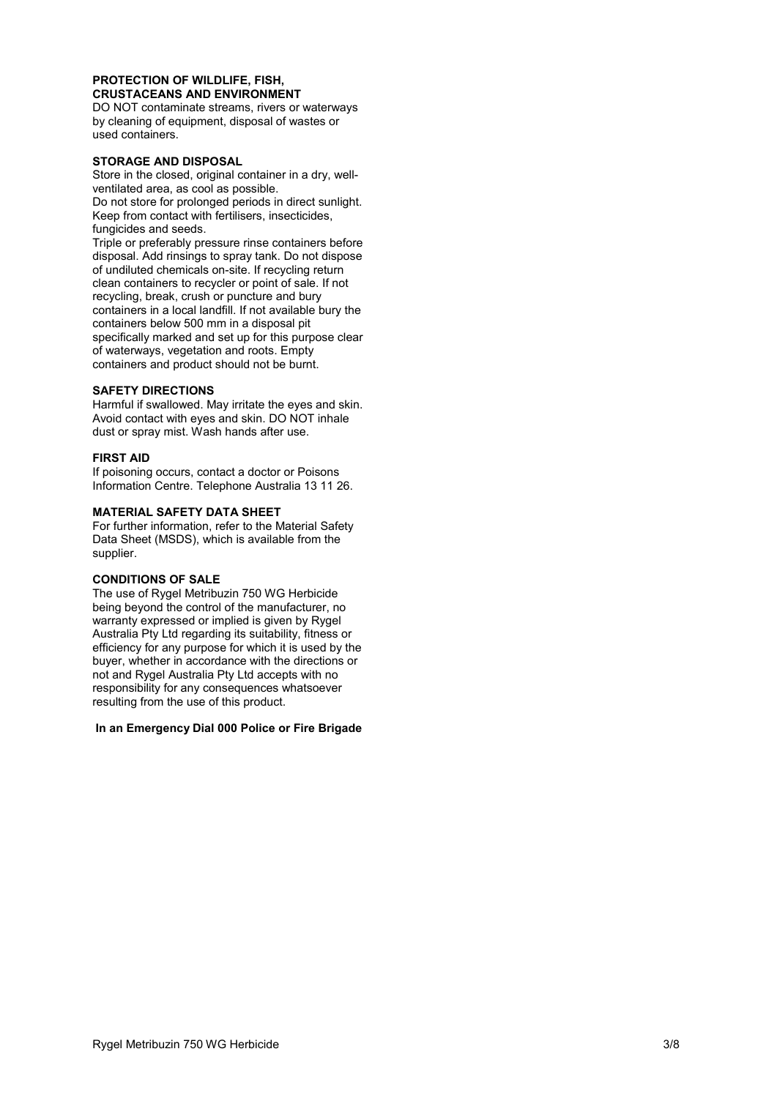#### **PROTECTION OF WILDLIFE, FISH, CRUSTACEANS AND ENVIRONMENT**

DO NOT contaminate streams, rivers or waterways by cleaning of equipment, disposal of wastes or used containers.

#### **STORAGE AND DISPOSAL**

Store in the closed, original container in a dry, wellventilated area, as cool as possible. Do not store for prolonged periods in direct sunlight. Keep from contact with fertilisers, insecticides, fungicides and seeds.

Triple or preferably pressure rinse containers before disposal. Add rinsings to spray tank. Do not dispose of undiluted chemicals on-site. If recycling return clean containers to recycler or point of sale. If not recycling, break, crush or puncture and bury containers in a local landfill. If not available bury the containers below 500 mm in a disposal pit specifically marked and set up for this purpose clear of waterways, vegetation and roots. Empty containers and product should not be burnt.

#### **SAFETY DIRECTIONS**

Harmful if swallowed. May irritate the eyes and skin. Avoid contact with eyes and skin. DO NOT inhale dust or spray mist. Wash hands after use.

#### **FIRST AID**

If poisoning occurs, contact a doctor or Poisons Information Centre. Telephone Australia 13 11 26.

#### **MATERIAL SAFETY DATA SHEET**

For further information, refer to the Material Safety Data Sheet (MSDS), which is available from the supplier.

#### **CONDITIONS OF SALE**

The use of Rygel Metribuzin 750 WG Herbicide being beyond the control of the manufacturer, no warranty expressed or implied is given by Rygel Australia Pty Ltd regarding its suitability, fitness or efficiency for any purpose for which it is used by the buyer, whether in accordance with the directions or not and Rygel Australia Pty Ltd accepts with no responsibility for any consequences whatsoever resulting from the use of this product.

#### **In an Emergency Dial 000 Police or Fire Brigade**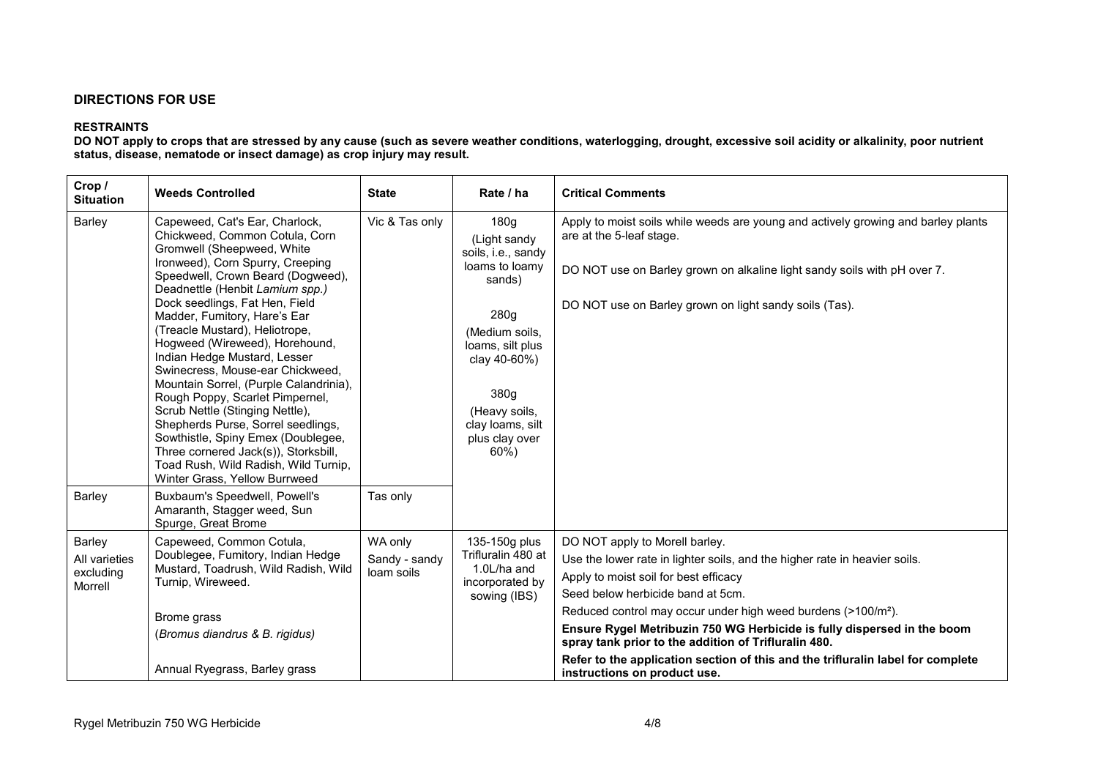## **DIRECTIONS FOR USE**

### **RESTRAINTS**

**DO NOT apply to crops that are stressed by any cause (such as severe weather conditions, waterlogging, drought, excessive soil acidity or alkalinity, poor nutrient status, disease, nematode or insect damage) as crop injury may result.**

| Crop /<br><b>Situation</b>                      | <b>Weeds Controlled</b>                                                                                                                                                                                                                                                                                                                                                                                                                                                                                                                                                                                                                                                                                                           | <b>State</b>                           | Rate / ha                                                                                                                                                                                                       | <b>Critical Comments</b>                                                                                                                                                                                                                                                                                                                                                                                                                                                                                                      |
|-------------------------------------------------|-----------------------------------------------------------------------------------------------------------------------------------------------------------------------------------------------------------------------------------------------------------------------------------------------------------------------------------------------------------------------------------------------------------------------------------------------------------------------------------------------------------------------------------------------------------------------------------------------------------------------------------------------------------------------------------------------------------------------------------|----------------------------------------|-----------------------------------------------------------------------------------------------------------------------------------------------------------------------------------------------------------------|-------------------------------------------------------------------------------------------------------------------------------------------------------------------------------------------------------------------------------------------------------------------------------------------------------------------------------------------------------------------------------------------------------------------------------------------------------------------------------------------------------------------------------|
| Barley                                          | Capeweed, Cat's Ear, Charlock,<br>Chickweed, Common Cotula, Corn<br>Gromwell (Sheepweed, White<br>Ironweed), Corn Spurry, Creeping<br>Speedwell, Crown Beard (Dogweed),<br>Deadnettle (Henbit Lamium spp.)<br>Dock seedlings, Fat Hen, Field<br>Madder, Fumitory, Hare's Ear<br>(Treacle Mustard), Heliotrope,<br>Hogweed (Wireweed), Horehound,<br>Indian Hedge Mustard, Lesser<br>Swinecress, Mouse-ear Chickweed,<br>Mountain Sorrel, (Purple Calandrinia),<br>Rough Poppy, Scarlet Pimpernel,<br>Scrub Nettle (Stinging Nettle),<br>Shepherds Purse, Sorrel seedlings,<br>Sowthistle, Spiny Emex (Doublegee,<br>Three cornered Jack(s)), Storksbill,<br>Toad Rush, Wild Radish, Wild Turnip,<br>Winter Grass, Yellow Burrweed | Vic & Tas only                         | 180g<br>(Light sandy<br>soils, i.e., sandy<br>loams to loamy<br>sands)<br>280g<br>(Medium soils,<br>loams, silt plus<br>clay 40-60%)<br>380g<br>(Heavy soils,<br>clay loams, silt<br>plus clay over<br>$60\%$ ) | Apply to moist soils while weeds are young and actively growing and barley plants<br>are at the 5-leaf stage.<br>DO NOT use on Barley grown on alkaline light sandy soils with pH over 7.<br>DO NOT use on Barley grown on light sandy soils (Tas).                                                                                                                                                                                                                                                                           |
| Barley                                          | Buxbaum's Speedwell, Powell's<br>Amaranth, Stagger weed, Sun<br>Spurge, Great Brome                                                                                                                                                                                                                                                                                                                                                                                                                                                                                                                                                                                                                                               | Tas only                               |                                                                                                                                                                                                                 |                                                                                                                                                                                                                                                                                                                                                                                                                                                                                                                               |
| Barley<br>All varieties<br>excluding<br>Morrell | Capeweed, Common Cotula,<br>Doublegee, Fumitory, Indian Hedge<br>Mustard, Toadrush, Wild Radish, Wild<br>Turnip, Wireweed.<br>Brome grass<br>(Bromus diandrus & B. rigidus)<br>Annual Ryegrass, Barley grass                                                                                                                                                                                                                                                                                                                                                                                                                                                                                                                      | WA only<br>Sandy - sandy<br>loam soils | 135-150g plus<br>Trifluralin 480 at<br>$1.0$ L/ha and<br>incorporated by<br>sowing (IBS)                                                                                                                        | DO NOT apply to Morell barley.<br>Use the lower rate in lighter soils, and the higher rate in heavier soils.<br>Apply to moist soil for best efficacy<br>Seed below herbicide band at 5cm.<br>Reduced control may occur under high weed burdens (>100/m <sup>2</sup> ).<br>Ensure Rygel Metribuzin 750 WG Herbicide is fully dispersed in the boom<br>spray tank prior to the addition of Trifluralin 480.<br>Refer to the application section of this and the trifluralin label for complete<br>instructions on product use. |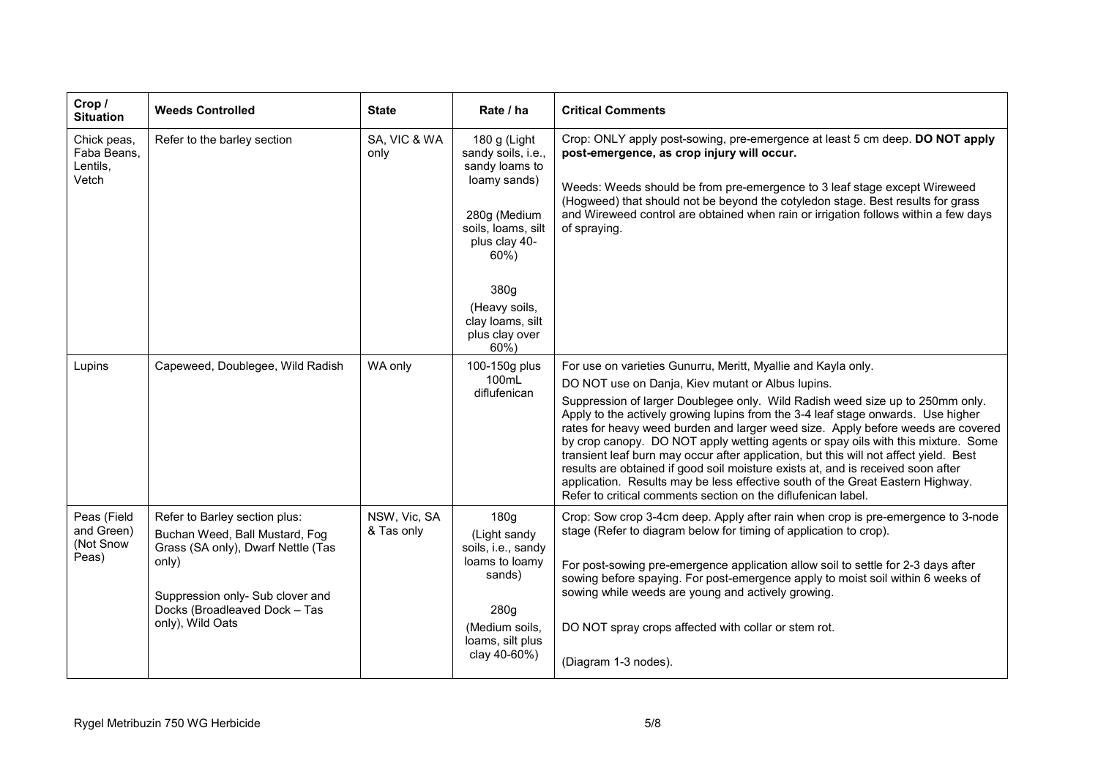| Crop /<br><b>Situation</b>                      | <b>Weeds Controlled</b>                                                                                                                                                                                 | <b>State</b>               | Rate / ha                                                                                                                                                                                                     | <b>Critical Comments</b>                                                                                                                                                                                                                                                                                                                                                                                                                                                                                                                                                                                                                                                                                                                                                                        |
|-------------------------------------------------|---------------------------------------------------------------------------------------------------------------------------------------------------------------------------------------------------------|----------------------------|---------------------------------------------------------------------------------------------------------------------------------------------------------------------------------------------------------------|-------------------------------------------------------------------------------------------------------------------------------------------------------------------------------------------------------------------------------------------------------------------------------------------------------------------------------------------------------------------------------------------------------------------------------------------------------------------------------------------------------------------------------------------------------------------------------------------------------------------------------------------------------------------------------------------------------------------------------------------------------------------------------------------------|
| Chick peas,<br>Faba Beans,<br>Lentils,<br>Vetch | Refer to the barley section                                                                                                                                                                             | SA, VIC & WA<br>only       | 180 g (Light<br>sandy soils, i.e.,<br>sandy loams to<br>loamy sands)<br>280g (Medium<br>soils, loams, silt<br>plus clay 40-<br>$60\%$ )<br>380g<br>(Heavy soils,<br>clay loams, silt<br>plus clay over<br>60% | Crop: ONLY apply post-sowing, pre-emergence at least 5 cm deep. DO NOT apply<br>post-emergence, as crop injury will occur.<br>Weeds: Weeds should be from pre-emergence to 3 leaf stage except Wireweed<br>(Hogweed) that should not be beyond the cotyledon stage. Best results for grass<br>and Wireweed control are obtained when rain or irrigation follows within a few days<br>of spraying.                                                                                                                                                                                                                                                                                                                                                                                               |
| Lupins                                          | Capeweed, Doublegee, Wild Radish                                                                                                                                                                        | WA only                    | 100-150g plus<br>100mL<br>diflufenican                                                                                                                                                                        | For use on varieties Gunurru, Meritt, Myallie and Kayla only.<br>DO NOT use on Danja, Kiev mutant or Albus lupins.<br>Suppression of larger Doublegee only. Wild Radish weed size up to 250mm only.<br>Apply to the actively growing lupins from the 3-4 leaf stage onwards. Use higher<br>rates for heavy weed burden and larger weed size. Apply before weeds are covered<br>by crop canopy. DO NOT apply wetting agents or spay oils with this mixture. Some<br>transient leaf burn may occur after application, but this will not affect yield. Best<br>results are obtained if good soil moisture exists at, and is received soon after<br>application. Results may be less effective south of the Great Eastern Highway.<br>Refer to critical comments section on the diflufenican label. |
| Peas (Field<br>and Green)<br>(Not Snow<br>Peas) | Refer to Barley section plus:<br>Buchan Weed, Ball Mustard, Fog<br>Grass (SA only), Dwarf Nettle (Tas<br>only)<br>Suppression only- Sub clover and<br>Docks (Broadleaved Dock - Tas<br>only), Wild Oats | NSW, Vic, SA<br>& Tas only | 180g<br>(Light sandy<br>soils, i.e., sandy<br>loams to loamy<br>sands)<br>280g<br>(Medium soils,<br>loams, silt plus<br>clay 40-60%)                                                                          | Crop: Sow crop 3-4cm deep. Apply after rain when crop is pre-emergence to 3-node<br>stage (Refer to diagram below for timing of application to crop).<br>For post-sowing pre-emergence application allow soil to settle for 2-3 days after<br>sowing before spaying. For post-emergence apply to moist soil within 6 weeks of<br>sowing while weeds are young and actively growing.<br>DO NOT spray crops affected with collar or stem rot.<br>(Diagram 1-3 nodes).                                                                                                                                                                                                                                                                                                                             |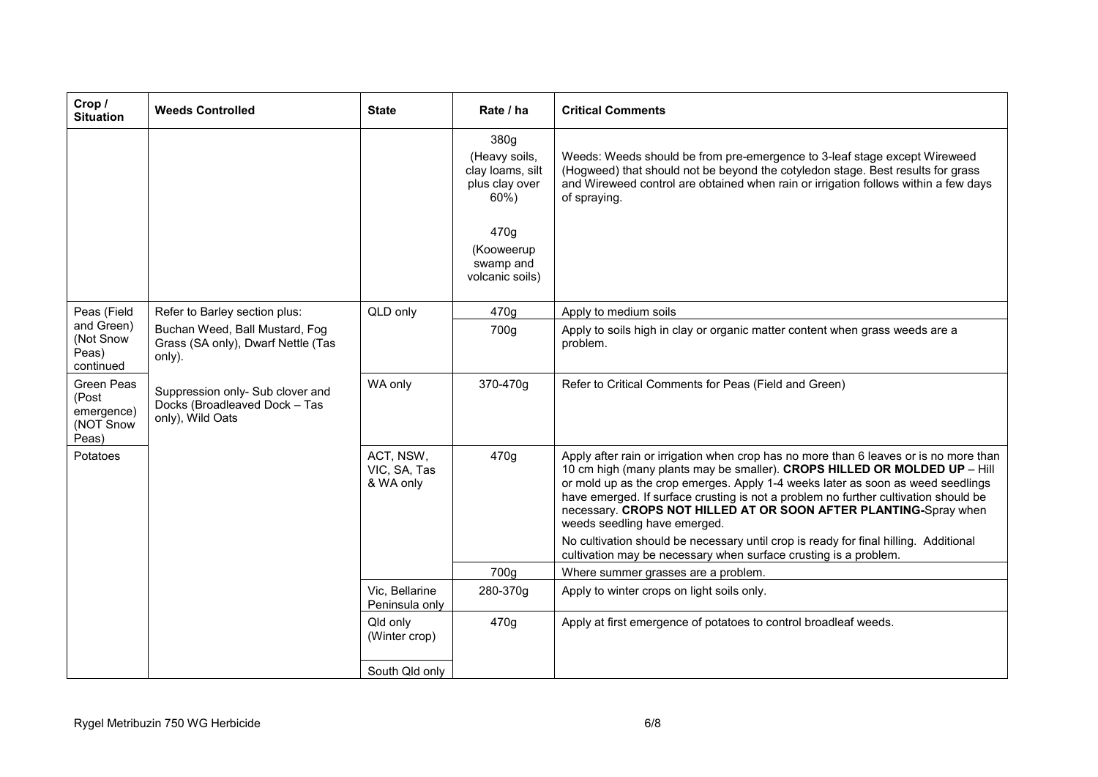| Crop /<br><b>Situation</b>                              | <b>Weeds Controlled</b>                                                               | <b>State</b>                           | Rate / ha                                                                                                                     | <b>Critical Comments</b>                                                                                                                                                                                                                                                                                                                                                                                                                                                                                                                 |
|---------------------------------------------------------|---------------------------------------------------------------------------------------|----------------------------------------|-------------------------------------------------------------------------------------------------------------------------------|------------------------------------------------------------------------------------------------------------------------------------------------------------------------------------------------------------------------------------------------------------------------------------------------------------------------------------------------------------------------------------------------------------------------------------------------------------------------------------------------------------------------------------------|
|                                                         |                                                                                       |                                        | 380g<br>(Heavy soils,<br>clay loams, silt<br>plus clay over<br>$60\%$ )<br>470g<br>(Kooweerup<br>swamp and<br>volcanic soils) | Weeds: Weeds should be from pre-emergence to 3-leaf stage except Wireweed<br>(Hogweed) that should not be beyond the cotyledon stage. Best results for grass<br>and Wireweed control are obtained when rain or irrigation follows within a few days<br>of spraying.                                                                                                                                                                                                                                                                      |
| Peas (Field                                             | Refer to Barley section plus:                                                         | QLD only                               | 470g                                                                                                                          | Apply to medium soils                                                                                                                                                                                                                                                                                                                                                                                                                                                                                                                    |
| and Green)<br>(Not Snow<br>Peas)<br>continued           | Buchan Weed, Ball Mustard, Fog<br>Grass (SA only), Dwarf Nettle (Tas<br>only).        |                                        | 700g                                                                                                                          | Apply to soils high in clay or organic matter content when grass weeds are a<br>problem.                                                                                                                                                                                                                                                                                                                                                                                                                                                 |
| Green Peas<br>(Post<br>emergence)<br>(NOT Snow<br>Peas) | Suppression only- Sub clover and<br>Docks (Broadleaved Dock - Tas<br>only), Wild Oats | WA only                                | 370-470g                                                                                                                      | Refer to Critical Comments for Peas (Field and Green)                                                                                                                                                                                                                                                                                                                                                                                                                                                                                    |
| Potatoes                                                |                                                                                       | ACT, NSW,<br>VIC, SA, Tas<br>& WA only | 470g                                                                                                                          | Apply after rain or irrigation when crop has no more than 6 leaves or is no more than<br>10 cm high (many plants may be smaller). CROPS HILLED OR MOLDED UP - Hill<br>or mold up as the crop emerges. Apply 1-4 weeks later as soon as weed seedlings<br>have emerged. If surface crusting is not a problem no further cultivation should be<br>necessary. CROPS NOT HILLED AT OR SOON AFTER PLANTING-Spray when<br>weeds seedling have emerged.<br>No cultivation should be necessary until crop is ready for final hilling. Additional |
|                                                         |                                                                                       |                                        | 700g                                                                                                                          | cultivation may be necessary when surface crusting is a problem.<br>Where summer grasses are a problem.                                                                                                                                                                                                                                                                                                                                                                                                                                  |
|                                                         |                                                                                       | Vic. Bellarine<br>Peninsula only       | 280-370g                                                                                                                      | Apply to winter crops on light soils only.                                                                                                                                                                                                                                                                                                                                                                                                                                                                                               |
|                                                         |                                                                                       | Qld only<br>(Winter crop)              | 470g                                                                                                                          | Apply at first emergence of potatoes to control broadleaf weeds.                                                                                                                                                                                                                                                                                                                                                                                                                                                                         |
|                                                         |                                                                                       | South Qld only                         |                                                                                                                               |                                                                                                                                                                                                                                                                                                                                                                                                                                                                                                                                          |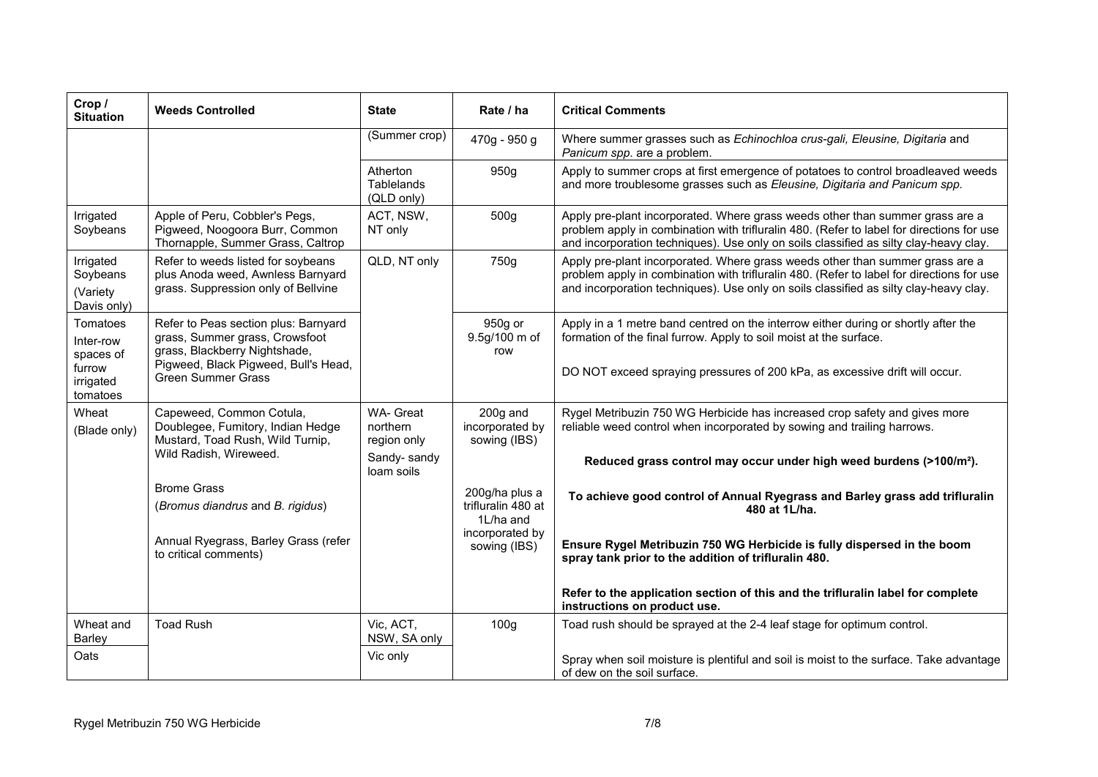| Crop /<br><b>Situation</b>                       | <b>Weeds Controlled</b>                                                                                        | State                                       | Rate / ha                                         | <b>Critical Comments</b>                                                                                                                                                                                                                                            |
|--------------------------------------------------|----------------------------------------------------------------------------------------------------------------|---------------------------------------------|---------------------------------------------------|---------------------------------------------------------------------------------------------------------------------------------------------------------------------------------------------------------------------------------------------------------------------|
|                                                  |                                                                                                                | (Summer crop)                               | $470g - 950g$                                     | Where summer grasses such as Echinochloa crus-gali, Eleusine, Digitaria and<br>Panicum spp. are a problem.                                                                                                                                                          |
|                                                  |                                                                                                                | Atherton<br><b>Tablelands</b><br>(QLD only) | 950g                                              | Apply to summer crops at first emergence of potatoes to control broadleaved weeds<br>and more troublesome grasses such as Eleusine, Digitaria and Panicum spp.                                                                                                      |
| Irrigated<br>Soybeans                            | Apple of Peru, Cobbler's Pegs,<br>Pigweed, Noogoora Burr, Common<br>Thornapple, Summer Grass, Caltrop          | ACT, NSW,<br>NT only                        | 500g                                              | Apply pre-plant incorporated. Where grass weeds other than summer grass are a<br>problem apply in combination with trifluralin 480. (Refer to label for directions for use<br>and incorporation techniques). Use only on soils classified as silty clay-heavy clay. |
| Irrigated<br>Soybeans<br>(Variety<br>Davis only) | Refer to weeds listed for soybeans<br>plus Anoda weed, Awnless Barnyard<br>grass. Suppression only of Bellvine | QLD, NT only                                | 750g                                              | Apply pre-plant incorporated. Where grass weeds other than summer grass are a<br>problem apply in combination with trifluralin 480. (Refer to label for directions for use<br>and incorporation techniques). Use only on soils classified as silty clay-heavy clay. |
| Tomatoes<br>Inter-row<br>spaces of               | Refer to Peas section plus: Barnyard<br>grass, Summer grass, Crowsfoot<br>grass, Blackberry Nightshade,        |                                             | 950g or<br>9.5g/100 m of<br>row                   | Apply in a 1 metre band centred on the interrow either during or shortly after the<br>formation of the final furrow. Apply to soil moist at the surface.                                                                                                            |
| furrow<br>irrigated<br>tomatoes                  | Pigweed, Black Pigweed, Bull's Head,<br><b>Green Summer Grass</b>                                              |                                             |                                                   | DO NOT exceed spraying pressures of 200 kPa, as excessive drift will occur.                                                                                                                                                                                         |
| Wheat<br>(Blade only)                            | Capeweed, Common Cotula,<br>Doublegee, Fumitory, Indian Hedge<br>Mustard, Toad Rush, Wild Turnip,              | WA- Great<br>northern<br>region only        | 200g and<br>incorporated by<br>sowing (IBS)       | Rygel Metribuzin 750 WG Herbicide has increased crop safety and gives more<br>reliable weed control when incorporated by sowing and trailing harrows.                                                                                                               |
|                                                  | Wild Radish, Wireweed.                                                                                         | Sandy-sandy<br>loam soils                   |                                                   | Reduced grass control may occur under high weed burdens (>100/m <sup>2</sup> ).                                                                                                                                                                                     |
|                                                  | <b>Brome Grass</b><br>(Bromus diandrus and B. rigidus)                                                         |                                             | 200g/ha plus a<br>trifluralin 480 at<br>1L/ha and | To achieve good control of Annual Ryegrass and Barley grass add trifluralin<br>480 at 1L/ha.                                                                                                                                                                        |
|                                                  | Annual Ryegrass, Barley Grass (refer<br>to critical comments)                                                  |                                             | incorporated by<br>sowing (IBS)                   | Ensure Rygel Metribuzin 750 WG Herbicide is fully dispersed in the boom<br>spray tank prior to the addition of trifluralin 480.                                                                                                                                     |
|                                                  |                                                                                                                |                                             |                                                   | Refer to the application section of this and the trifluralin label for complete<br>instructions on product use.                                                                                                                                                     |
| Wheat and<br>Barley                              | <b>Toad Rush</b>                                                                                               | Vic, ACT,<br>NSW, SA only                   | 100g                                              | Toad rush should be sprayed at the 2-4 leaf stage for optimum control.                                                                                                                                                                                              |
| Oats                                             |                                                                                                                | Vic only                                    |                                                   | Spray when soil moisture is plentiful and soil is moist to the surface. Take advantage<br>of dew on the soil surface.                                                                                                                                               |